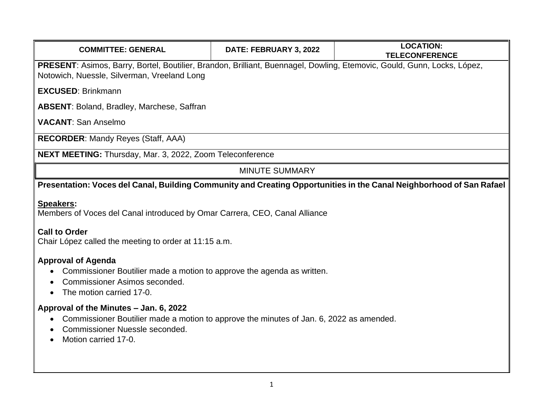| <b>COMMITTEE: GENERAL</b>                                                                                                                                                                   | DATE: FEBRUARY 3, 2022 | <b>LOCATION:</b><br><b>TELECONFERENCE</b> |
|---------------------------------------------------------------------------------------------------------------------------------------------------------------------------------------------|------------------------|-------------------------------------------|
| PRESENT: Asimos, Barry, Bortel, Boutilier, Brandon, Brilliant, Buennagel, Dowling, Etemovic, Gould, Gunn, Locks, López,<br>Notowich, Nuessle, Silverman, Vreeland Long                      |                        |                                           |
| <b>EXCUSED: Brinkmann</b>                                                                                                                                                                   |                        |                                           |
| <b>ABSENT: Boland, Bradley, Marchese, Saffran</b>                                                                                                                                           |                        |                                           |
| <b>VACANT: San Anselmo</b>                                                                                                                                                                  |                        |                                           |
| <b>RECORDER: Mandy Reyes (Staff, AAA)</b>                                                                                                                                                   |                        |                                           |
| NEXT MEETING: Thursday, Mar. 3, 2022, Zoom Teleconference                                                                                                                                   |                        |                                           |
| <b>MINUTE SUMMARY</b>                                                                                                                                                                       |                        |                                           |
| Presentation: Voces del Canal, Building Community and Creating Opportunities in the Canal Neighborhood of San Rafael                                                                        |                        |                                           |
| <b>Speakers:</b><br>Members of Voces del Canal introduced by Omar Carrera, CEO, Canal Alliance                                                                                              |                        |                                           |
| <b>Call to Order</b><br>Chair López called the meeting to order at 11:15 a.m.                                                                                                               |                        |                                           |
| <b>Approval of Agenda</b><br>Commissioner Boutilier made a motion to approve the agenda as written.<br>Commissioner Asimos seconded.<br>The motion carried 17-0.                            |                        |                                           |
| Approval of the Minutes - Jan. 6, 2022<br>Commissioner Boutilier made a motion to approve the minutes of Jan. 6, 2022 as amended.<br>Commissioner Nuessle seconded.<br>Motion carried 17-0. |                        |                                           |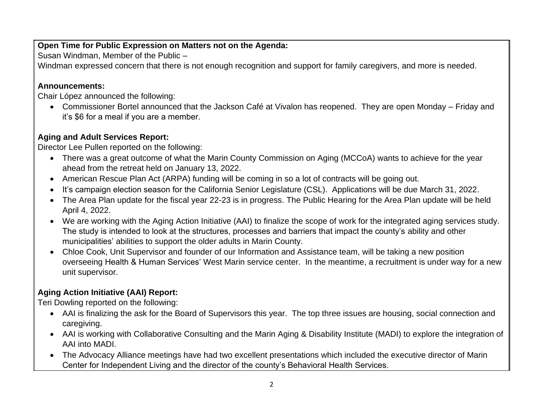#### **Open Time for Public Expression on Matters not on the Agenda:**

Susan Windman, Member of the Public –

Windman expressed concern that there is not enough recognition and support for family caregivers, and more is needed.

## **Announcements:**

Chair López announced the following:

• Commissioner Bortel announced that the Jackson Café at Vivalon has reopened. They are open Monday – Friday and it's \$6 for a meal if you are a member.

# **Aging and Adult Services Report:**

Director Lee Pullen reported on the following:

- There was a great outcome of what the Marin County Commission on Aging (MCCoA) wants to achieve for the year ahead from the retreat held on January 13, 2022.
- American Rescue Plan Act (ARPA) funding will be coming in so a lot of contracts will be going out.
- It's campaign election season for the California Senior Legislature (CSL). Applications will be due March 31, 2022.
- The Area Plan update for the fiscal year 22-23 is in progress. The Public Hearing for the Area Plan update will be held April 4, 2022.
- We are working with the Aging Action Initiative (AAI) to finalize the scope of work for the integrated aging services study. The study is intended to look at the structures, processes and barriers that impact the county's ability and other municipalities' abilities to support the older adults in Marin County.
- Chloe Cook, Unit Supervisor and founder of our Information and Assistance team, will be taking a new position overseeing Health & Human Services' West Marin service center. In the meantime, a recruitment is under way for a new unit supervisor.

# **Aging Action Initiative (AAI) Report:**

Teri Dowling reported on the following:

- AAI is finalizing the ask for the Board of Supervisors this year. The top three issues are housing, social connection and caregiving.
- AAI is working with Collaborative Consulting and the Marin Aging & Disability Institute (MADI) to explore the integration of AAI into MADI.
- The Advocacy Alliance meetings have had two excellent presentations which included the executive director of Marin Center for Independent Living and the director of the county's Behavioral Health Services.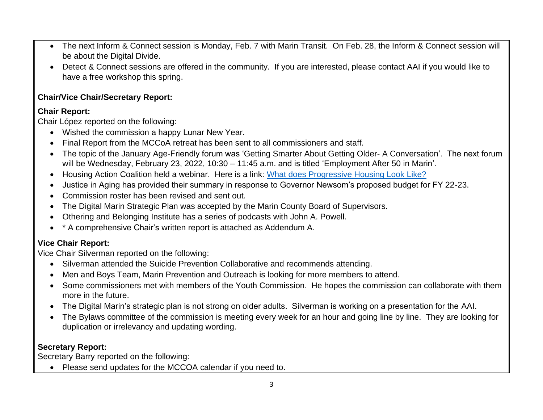- The next Inform & Connect session is Monday, Feb. 7 with Marin Transit.On Feb. 28, the Inform & Connect session will be about the Digital Divide.
- Detect & Connect sessions are offered in the community. If you are interested, please contact AAI if you would like to have a free workshop this spring.

#### **Chair/Vice Chair/Secretary Report:**

#### **Chair Report:**

Chair López reported on the following:

- Wished the commission a happy Lunar New Year.
- Final Report from the MCCoA retreat has been sent to all commissioners and staff.
- The topic of the January Age-Friendly forum was 'Getting Smarter About Getting Older- A Conversation'. The next forum will be Wednesday, February 23, 2022, 10:30 – 11:45 a.m. and is titled 'Employment After 50 in Marin'.
- Housing Action Coalition held a webinar. Here is a link: [What does Progressive Housing Look Like?](https://www.youtube.com/watch?v=tzzaA5kRTTQ&t=446s)
- Justice in Aging has provided their summary in response to Governor Newsom's proposed budget for FY 22-23.
- Commission roster has been revised and sent out.
- The Digital Marin Strategic Plan was accepted by the Marin County Board of Supervisors.
- Othering and Belonging Institute has a series of podcasts with John A. Powell.
- \* A comprehensive Chair's written report is attached as Addendum A.

# **Vice Chair Report:**

Vice Chair Silverman reported on the following:

- Silverman attended the Suicide Prevention Collaborative and recommends attending.
- Men and Boys Team, Marin Prevention and Outreach is looking for more members to attend.
- Some commissioners met with members of the Youth Commission. He hopes the commission can collaborate with them more in the future.
- The Digital Marin's strategic plan is not strong on older adults. Silverman is working on a presentation for the AAI.
- The Bylaws committee of the commission is meeting every week for an hour and going line by line. They are looking for duplication or irrelevancy and updating wording.

## **Secretary Report:**

Secretary Barry reported on the following:

• Please send updates for the MCCOA calendar if you need to.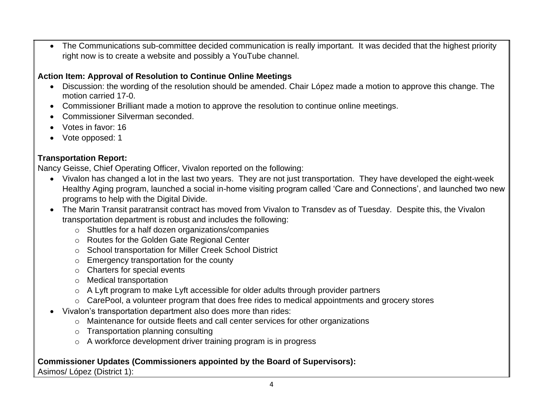• The Communications sub-committee decided communication is really important. It was decided that the highest priority right now is to create a website and possibly a YouTube channel.

#### **Action Item: Approval of Resolution to Continue Online Meetings**

- Discussion: the wording of the resolution should be amended. Chair López made a motion to approve this change. The motion carried 17-0.
- Commissioner Brilliant made a motion to approve the resolution to continue online meetings.
- Commissioner Silverman seconded.
- Votes in favor: 16
- Vote opposed: 1

## **Transportation Report:**

Nancy Geisse, Chief Operating Officer, Vivalon reported on the following:

- Vivalon has changed a lot in the last two years. They are not just transportation. They have developed the eight-week Healthy Aging program, launched a social in-home visiting program called 'Care and Connections', and launched two new programs to help with the Digital Divide.
- The Marin Transit paratransit contract has moved from Vivalon to Transdev as of Tuesday. Despite this, the Vivalon transportation department is robust and includes the following:
	- o Shuttles for a half dozen organizations/companies
	- o Routes for the Golden Gate Regional Center
	- o School transportation for Miller Creek School District
	- $\circ$  Emergency transportation for the county
	- o Charters for special events
	- o Medical transportation
	- o A Lyft program to make Lyft accessible for older adults through provider partners
	- o CarePool, a volunteer program that does free rides to medical appointments and grocery stores
- Vivalon's transportation department also does more than rides:
	- o Maintenance for outside fleets and call center services for other organizations
	- o Transportation planning consulting
	- o A workforce development driver training program is in progress

## **Commissioner Updates (Commissioners appointed by the Board of Supervisors):**

Asimos/ López (District 1):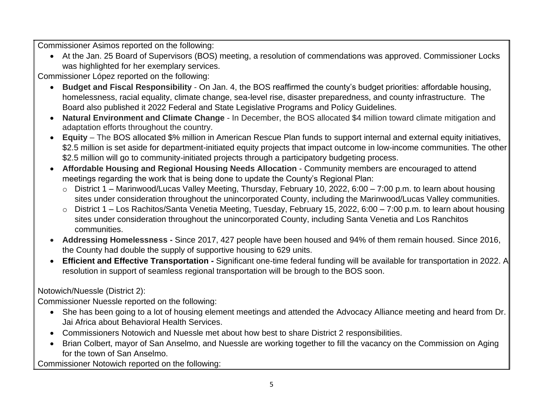Commissioner Asimos reported on the following:

• At the Jan. 25 Board of Supervisors (BOS) meeting, a resolution of commendations was approved. Commissioner Locks was highlighted for her exemplary services.

Commissioner López reported on the following:

- **Budget and Fiscal Responsibility** On Jan. 4, the BOS reaffirmed the county's budget priorities: affordable housing, homelessness, racial equality, climate change, sea-level rise, disaster preparedness, and county infrastructure. The Board also published it 2022 Federal and State Legislative Programs and Policy Guidelines.
- **Natural Environment and Climate Change** In December, the BOS allocated \$4 million toward climate mitigation and adaptation efforts throughout the country.
- **Equity** The BOS allocated \$% million in American Rescue Plan funds to support internal and external equity initiatives, \$2.5 million is set aside for department-initiated equity projects that impact outcome in low-income communities. The other \$2.5 million will go to community-initiated projects through a participatory budgeting process.
- **Affordable Housing and Regional Housing Needs Allocation** Community members are encouraged to attend meetings regarding the work that is being done to update the County's Regional Plan:
	- o District 1 Marinwood/Lucas Valley Meeting, Thursday, February 10, 2022, 6:00 7:00 p.m. to learn about housing sites under consideration throughout the unincorporated County, including the Marinwood/Lucas Valley communities.
	- o District 1 Los Rachitos/Santa Venetia Meeting, Tuesday, February 15, 2022, 6:00 7:00 p.m. to learn about housing sites under consideration throughout the unincorporated County, including Santa Venetia and Los Ranchitos communities.
- **Addressing Homelessness -** Since 2017, 427 people have been housed and 94% of them remain housed. Since 2016, the County had double the supply of supportive housing to 629 units.
- **Efficient and Effective Transportation -** Significant one-time federal funding will be available for transportation in 2022. A resolution in support of seamless regional transportation will be brough to the BOS soon.

Notowich/Nuessle (District 2):

Commissioner Nuessle reported on the following:

- She has been going to a lot of housing element meetings and attended the Advocacy Alliance meeting and heard from Dr. Jai Africa about Behavioral Health Services.
- Commissioners Notowich and Nuessle met about how best to share District 2 responsibilities.
- Brian Colbert, mayor of San Anselmo, and Nuessle are working together to fill the vacancy on the Commission on Aging for the town of San Anselmo.

Commissioner Notowich reported on the following: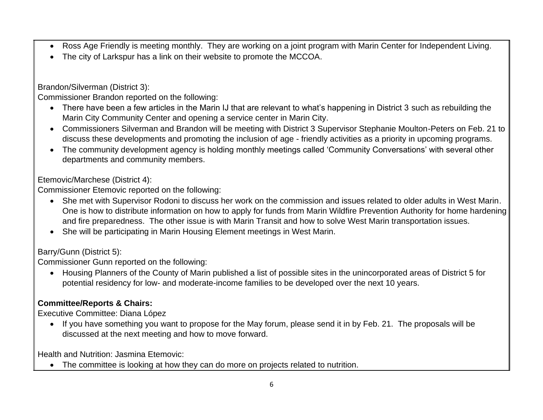- Ross Age Friendly is meeting monthly. They are working on a joint program with Marin Center for Independent Living.
- The city of Larkspur has a link on their website to promote the MCCOA.

Brandon/Silverman (District 3):

Commissioner Brandon reported on the following:

- There have been a few articles in the Marin IJ that are relevant to what's happening in District 3 such as rebuilding the Marin City Community Center and opening a service center in Marin City.
- Commissioners Silverman and Brandon will be meeting with District 3 Supervisor Stephanie Moulton-Peters on Feb. 21 to discuss these developments and promoting the inclusion of age - friendly activities as a priority in upcoming programs.
- The community development agency is holding monthly meetings called 'Community Conversations' with several other departments and community members.

Etemovic/Marchese (District 4):

Commissioner Etemovic reported on the following:

- She met with Supervisor Rodoni to discuss her work on the commission and issues related to older adults in West Marin. One is how to distribute information on how to apply for funds from Marin Wildfire Prevention Authority for home hardening and fire preparedness. The other issue is with Marin Transit and how to solve West Marin transportation issues.
- She will be participating in Marin Housing Element meetings in West Marin.

Barry/Gunn (District 5):

Commissioner Gunn reported on the following:

• Housing Planners of the County of Marin published a list of possible sites in the unincorporated areas of District 5 for potential residency for low- and moderate-income families to be developed over the next 10 years.

# **Committee/Reports & Chairs:**

Executive Committee: Diana López

• If you have something you want to propose for the May forum, please send it in by Feb. 21. The proposals will be discussed at the next meeting and how to move forward.

Health and Nutrition: Jasmina Etemovic:

• The committee is looking at how they can do more on projects related to nutrition.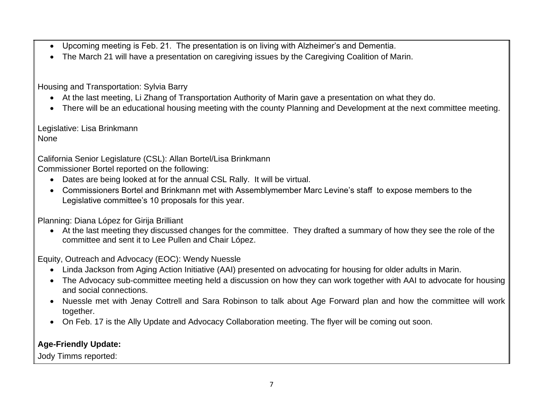- Upcoming meeting is Feb. 21. The presentation is on living with Alzheimer's and Dementia.
- The March 21 will have a presentation on caregiving issues by the Caregiving Coalition of Marin.

Housing and Transportation: Sylvia Barry

- At the last meeting, Li Zhang of Transportation Authority of Marin gave a presentation on what they do.
- There will be an educational housing meeting with the county Planning and Development at the next committee meeting.

Legislative: Lisa Brinkmann None

California Senior Legislature (CSL): Allan Bortel/Lisa Brinkmann

Commissioner Bortel reported on the following:

- Dates are being looked at for the annual CSL Rally. It will be virtual.
- Commissioners Bortel and Brinkmann met with Assemblymember Marc Levine's staff to expose members to the Legislative committee's 10 proposals for this year.

Planning: Diana López for Girija Brilliant

• At the last meeting they discussed changes for the committee. They drafted a summary of how they see the role of the committee and sent it to Lee Pullen and Chair López.

Equity, Outreach and Advocacy (EOC): Wendy Nuessle

- Linda Jackson from Aging Action Initiative (AAI) presented on advocating for housing for older adults in Marin.
- The Advocacy sub-committee meeting held a discussion on how they can work together with AAI to advocate for housing and social connections.
- Nuessle met with Jenay Cottrell and Sara Robinson to talk about Age Forward plan and how the committee will work together.
- On Feb. 17 is the Ally Update and Advocacy Collaboration meeting. The flyer will be coming out soon.

#### **Age-Friendly Update:**

Jody Timms reported: